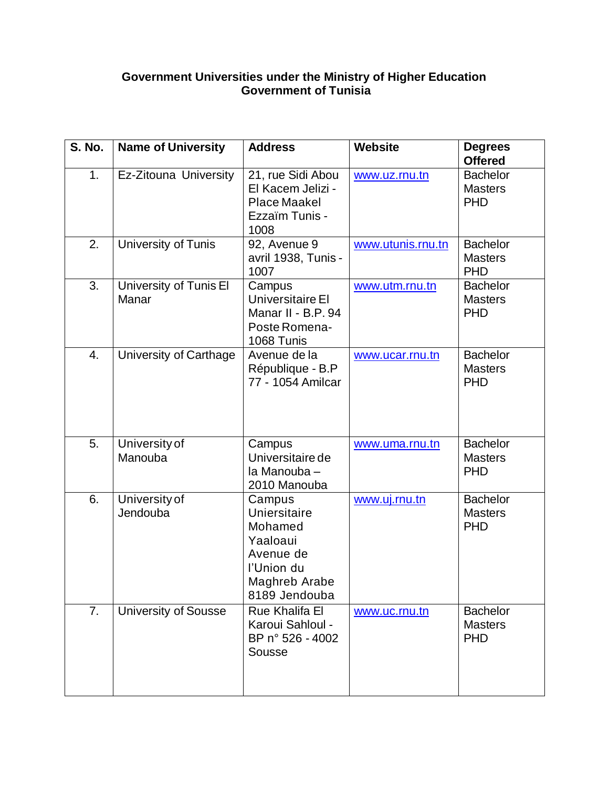## **Government Universities under the Ministry of Higher Education Government of Tunisia**

| <b>S. No.</b> | <b>Name of University</b>       | <b>Address</b>                                                                                             | <b>Website</b>    | <b>Degrees</b><br><b>Offered</b>                |
|---------------|---------------------------------|------------------------------------------------------------------------------------------------------------|-------------------|-------------------------------------------------|
| 1.            | Ez-Zitouna University           | 21, rue Sidi Abou<br>El Kacem Jelizi -<br><b>Place Maakel</b><br>Ezzaïm Tunis -<br>1008                    | www.uz.rnu.tn     | <b>Bachelor</b><br><b>Masters</b><br><b>PHD</b> |
| 2.            | University of Tunis             | 92, Avenue 9<br>avril 1938, Tunis -<br>1007                                                                | www.utunis.rnu.tn | <b>Bachelor</b><br><b>Masters</b><br><b>PHD</b> |
| 3.            | University of Tunis El<br>Manar | Campus<br>Universitaire El<br>Manar II - B.P. 94<br>Poste Romena-<br>1068 Tunis                            | www.utm.rnu.tn    | <b>Bachelor</b><br><b>Masters</b><br><b>PHD</b> |
| 4.            | University of Carthage          | Avenue de la<br>République - B.P<br>77 - 1054 Amilcar                                                      | www.ucar.rnu.tn   | <b>Bachelor</b><br><b>Masters</b><br><b>PHD</b> |
| 5.            | University of<br>Manouba        | Campus<br>Universitaire de<br>la Manouba-<br>2010 Manouba                                                  | www.uma.rnu.tn    | <b>Bachelor</b><br><b>Masters</b><br><b>PHD</b> |
| 6.            | University of<br>Jendouba       | Campus<br>Uniersitaire<br>Mohamed<br>Yaaloaui<br>Avenue de<br>l'Union du<br>Maghreb Arabe<br>8189 Jendouba | www.uj.rnu.tn     | <b>Bachelor</b><br><b>Masters</b><br><b>PHD</b> |
| 7.            | <b>University of Sousse</b>     | <b>Rue Khalifa El</b><br>Karoui Sahloul -<br>BP n° 526 - 4002<br>Sousse                                    | www.uc.rnu.tn     | <b>Bachelor</b><br><b>Masters</b><br><b>PHD</b> |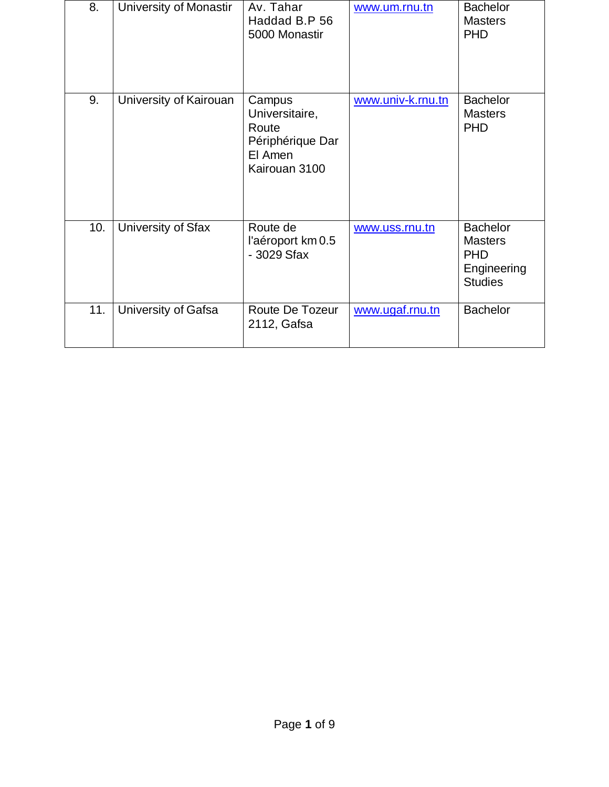| 8.  | University of Monastir | Av. Tahar<br>Haddad B.P 56<br>5000 Monastir                                       | www.um.rnu.tn     | <b>Bachelor</b><br><b>Masters</b><br><b>PHD</b>                                  |
|-----|------------------------|-----------------------------------------------------------------------------------|-------------------|----------------------------------------------------------------------------------|
| 9.  | University of Kairouan | Campus<br>Universitaire,<br>Route<br>Périphérique Dar<br>El Amen<br>Kairouan 3100 | www.univ-k.rnu.tn | <b>Bachelor</b><br><b>Masters</b><br><b>PHD</b>                                  |
| 10. | University of Sfax     | Route de<br>l'aéroport km 0.5<br>- 3029 Sfax                                      | www.uss.rnu.tn    | <b>Bachelor</b><br><b>Masters</b><br><b>PHD</b><br>Engineering<br><b>Studies</b> |
| 11. | University of Gafsa    | Route De Tozeur<br>2112, Gafsa                                                    | www.ugaf.rnu.tn   | <b>Bachelor</b>                                                                  |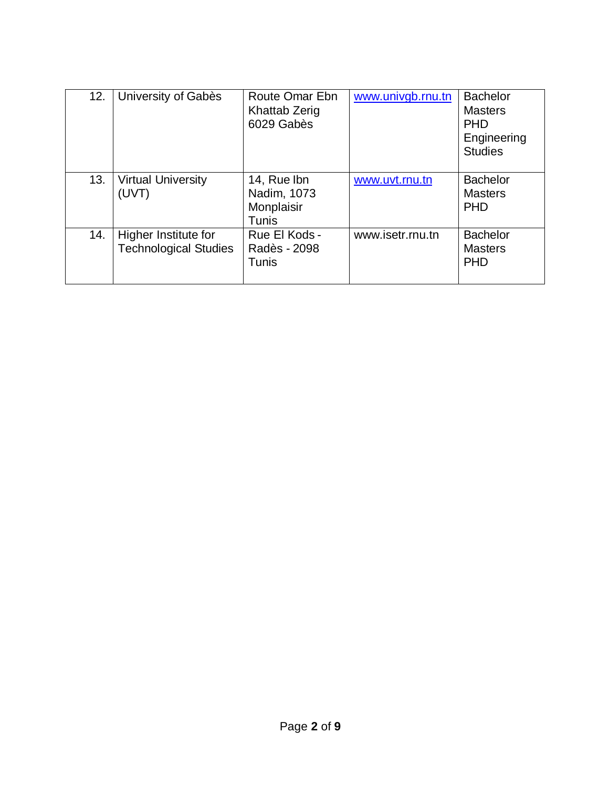| 12. | University of Gabès                                  | Route Omar Ebn<br><b>Khattab Zerig</b><br>6029 Gabès | www.univgb.rnu.tn | <b>Bachelor</b><br><b>Masters</b><br><b>PHD</b><br>Engineering<br><b>Studies</b> |
|-----|------------------------------------------------------|------------------------------------------------------|-------------------|----------------------------------------------------------------------------------|
| 13. | <b>Virtual University</b><br>(UVT)                   | 14, Rue Ibn<br>Nadim, 1073<br>Monplaisir<br>Tunis    | www.uvt.rnu.tn    | <b>Bachelor</b><br><b>Masters</b><br><b>PHD</b>                                  |
| 14. | Higher Institute for<br><b>Technological Studies</b> | Rue El Kods -<br>Radès - 2098<br>Tunis               | www.isetr.rnu.tn  | <b>Bachelor</b><br><b>Masters</b><br><b>PHD</b>                                  |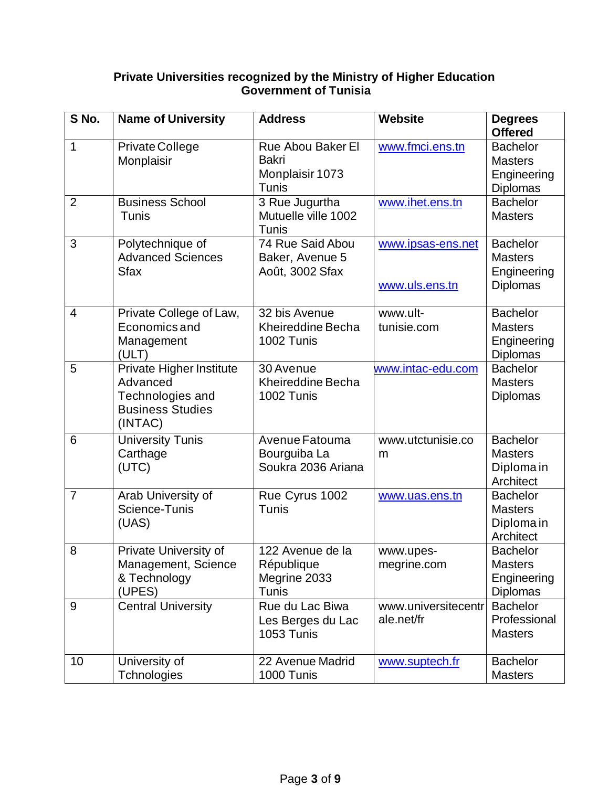## **Private Universities recognized by the Ministry of Higher Education Government of Tunisia**

| S No.          | <b>Name of University</b>                                                                      | <b>Address</b>                                                       | <b>Website</b>                      | <b>Degrees</b><br><b>Offered</b>                                    |
|----------------|------------------------------------------------------------------------------------------------|----------------------------------------------------------------------|-------------------------------------|---------------------------------------------------------------------|
| 1              | Private College<br>Monplaisir                                                                  | <b>Rue Abou Baker El</b><br><b>Bakri</b><br>Monplaisir 1073<br>Tunis | www.fmci.ens.tn                     | <b>Bachelor</b><br><b>Masters</b><br>Engineering<br><b>Diplomas</b> |
| $\overline{2}$ | <b>Business School</b><br>Tunis                                                                | 3 Rue Jugurtha<br>Mutuelle ville 1002<br>Tunis                       | www.ihet.ens.tn                     | <b>Bachelor</b><br><b>Masters</b>                                   |
| 3              | Polytechnique of<br><b>Advanced Sciences</b><br><b>Sfax</b>                                    | 74 Rue Said Abou<br>Baker, Avenue 5<br>Août, 3002 Sfax               | www.ipsas-ens.net<br>www.uls.ens.tn | <b>Bachelor</b><br><b>Masters</b><br>Engineering<br><b>Diplomas</b> |
| 4              | Private College of Law,<br>Economics and<br>Management<br>(ULT)                                | 32 bis Avenue<br>Kheireddine Becha<br>1002 Tunis                     | www.ult-<br>tunisie.com             | <b>Bachelor</b><br><b>Masters</b><br>Engineering<br><b>Diplomas</b> |
| 5              | Private Higher Institute<br>Advanced<br>Technologies and<br><b>Business Studies</b><br>(INTAC) | 30 Avenue<br><b>Kheireddine Becha</b><br>1002 Tunis                  | www.intac-edu.com                   | <b>Bachelor</b><br><b>Masters</b><br><b>Diplomas</b>                |
| 6              | <b>University Tunis</b><br>Carthage<br>(UTC)                                                   | Avenue Fatouma<br>Bourguiba La<br>Soukra 2036 Ariana                 | www.utctunisie.co<br>m              | <b>Bachelor</b><br><b>Masters</b><br>Diploma in<br>Architect        |
| $\overline{7}$ | Arab University of<br>Science-Tunis<br>(UAS)                                                   | Rue Cyrus 1002<br>Tunis                                              | www.uas.ens.tn                      | <b>Bachelor</b><br><b>Masters</b><br>Diploma in<br>Architect        |
| 8              | Private University of<br>Management, Science<br>& Technology<br>(UPES)                         | 122 Avenue de la<br>République<br>Megrine 2033<br>Tunis              | www.upes-<br>megrine.com            | <b>Bachelor</b><br><b>Masters</b><br>Engineering<br><b>Diplomas</b> |
| 9              | <b>Central University</b>                                                                      | Rue du Lac Biwa<br>Les Berges du Lac<br>1053 Tunis                   | www.universitecentr<br>ale.net/fr   | <b>Bachelor</b><br>Professional<br><b>Masters</b>                   |
| 10             | University of<br>Tchnologies                                                                   | 22 Avenue Madrid<br>1000 Tunis                                       | www.suptech.fr                      | <b>Bachelor</b><br><b>Masters</b>                                   |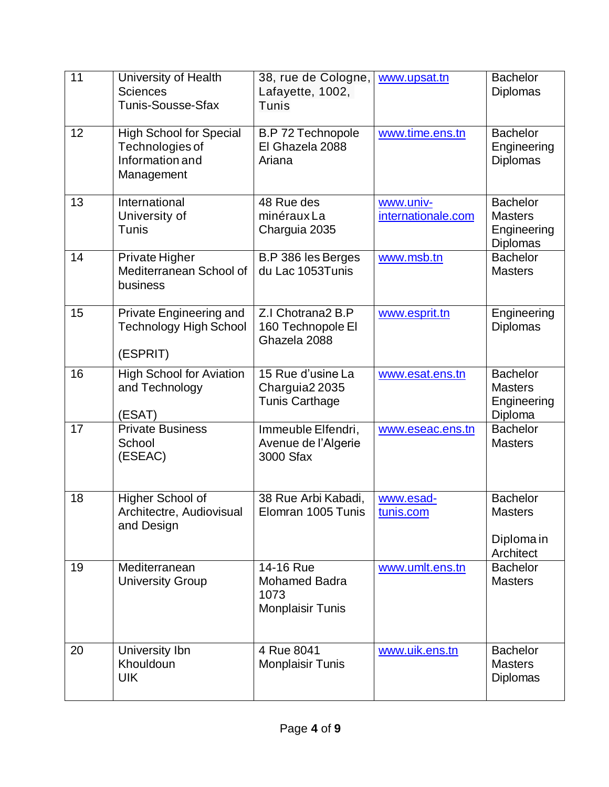| 11 | University of Health<br><b>Sciences</b><br>Tunis-Sousse-Sfax                       | 38, rue de Cologne,<br>Lafayette, 1002,<br>Tunis                     | www.upsat.tn                    | <b>Bachelor</b><br><b>Diplomas</b>                                  |
|----|------------------------------------------------------------------------------------|----------------------------------------------------------------------|---------------------------------|---------------------------------------------------------------------|
| 12 | <b>High School for Special</b><br>Technologies of<br>Information and<br>Management | <b>B.P 72 Technopole</b><br>El Ghazela 2088<br>Ariana                | www.time.ens.tn                 | <b>Bachelor</b><br>Engineering<br><b>Diplomas</b>                   |
| 13 | International<br>University of<br>Tunis                                            | 48 Rue des<br>minérauxLa<br>Charguia 2035                            | www.univ-<br>internationale.com | <b>Bachelor</b><br><b>Masters</b><br>Engineering<br><b>Diplomas</b> |
| 14 | Private Higher<br>Mediterranean School of<br>business                              | B.P 386 les Berges<br>du Lac 1053Tunis                               | www.msb.tn                      | <b>Bachelor</b><br><b>Masters</b>                                   |
| 15 | Private Engineering and<br><b>Technology High School</b><br>(ESPRIT)               | Z.I Chotrana2 B.P<br>160 Technopole El<br>Ghazela 2088               | www.esprit.tn                   | Engineering<br><b>Diplomas</b>                                      |
| 16 | <b>High School for Aviation</b><br>and Technology<br>(ESAT)                        | 15 Rue d'usine La<br>Charguia2 2035<br><b>Tunis Carthage</b>         | www.esat.ens.tn                 | <b>Bachelor</b><br><b>Masters</b><br>Engineering<br>Diploma         |
| 17 | <b>Private Business</b><br>School<br>(ESEAC)                                       | Immeuble Elfendri,<br>Avenue de l'Algerie<br>3000 Sfax               | www.eseac.ens.tn                | <b>Bachelor</b><br><b>Masters</b>                                   |
| 18 | Higher School of<br>Architectre, Audiovisual<br>and Design                         | 38 Rue Arbi Kabadi,<br>Elomran 1005 Tunis                            | www.esad-<br>tunis.com          | <b>Bachelor</b><br><b>Masters</b><br>Diploma in<br>Architect        |
| 19 | Mediterranean<br><b>University Group</b>                                           | 14-16 Rue<br><b>Mohamed Badra</b><br>1073<br><b>Monplaisir Tunis</b> | www.umlt.ens.tn                 | <b>Bachelor</b><br><b>Masters</b>                                   |
| 20 | University Ibn<br>Khouldoun<br>UIK                                                 | 4 Rue 8041<br><b>Monplaisir Tunis</b>                                | www.uik.ens.tn                  | <b>Bachelor</b><br><b>Masters</b><br>Diplomas                       |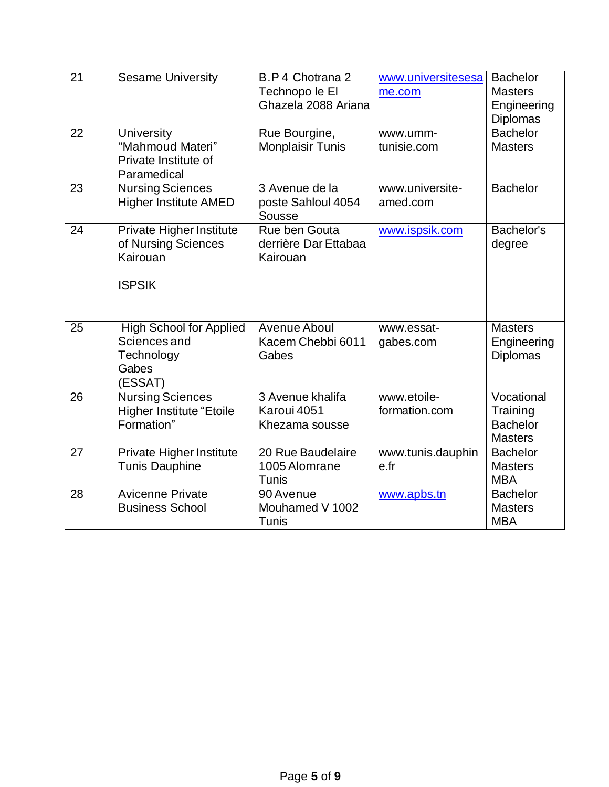| 21 | <b>Sesame University</b>                                                         | B.P 4 Chotrana 2<br>Technopo le El<br>Ghazela 2088 Ariana | www.universitesesa<br>me.com | <b>Bachelor</b><br><b>Masters</b><br>Engineering<br><b>Diplomas</b> |
|----|----------------------------------------------------------------------------------|-----------------------------------------------------------|------------------------------|---------------------------------------------------------------------|
| 22 | <b>University</b><br>"Mahmoud Materi"<br>Private Institute of<br>Paramedical     | Rue Bourgine,<br><b>Monplaisir Tunis</b>                  | www.umm-<br>tunisie.com      | <b>Bachelor</b><br><b>Masters</b>                                   |
| 23 | <b>Nursing Sciences</b><br><b>Higher Institute AMED</b>                          | 3 Avenue de la<br>poste Sahloul 4054<br>Sousse            | www.universite-<br>amed.com  | <b>Bachelor</b>                                                     |
| 24 | Private Higher Institute<br>of Nursing Sciences<br>Kairouan<br><b>ISPSIK</b>     | Rue ben Gouta<br>derrière Dar Ettabaa<br>Kairouan         | www.ispsik.com               | Bachelor's<br>degree                                                |
| 25 | <b>High School for Applied</b><br>Sciences and<br>Technology<br>Gabes<br>(ESSAT) | Avenue Aboul<br>Kacem Chebbi 6011<br>Gabes                | www.essat-<br>gabes.com      | <b>Masters</b><br>Engineering<br><b>Diplomas</b>                    |
| 26 | <b>Nursing Sciences</b><br><b>Higher Institute "Etoile</b><br>Formation"         | 3 Avenue khalifa<br>Karoui 4051<br>Khezama sousse         | www.etoile-<br>formation.com | Vocational<br>Training<br><b>Bachelor</b><br><b>Masters</b>         |
| 27 | Private Higher Institute<br><b>Tunis Dauphine</b>                                | 20 Rue Baudelaire<br>1005 Alomrane<br>Tunis               | www.tunis.dauphin<br>e.fr    | <b>Bachelor</b><br><b>Masters</b><br><b>MBA</b>                     |
| 28 | <b>Avicenne Private</b><br><b>Business School</b>                                | 90 Avenue<br>Mouhamed V 1002<br>Tunis                     | www.apbs.tn                  | <b>Bachelor</b><br><b>Masters</b><br><b>MBA</b>                     |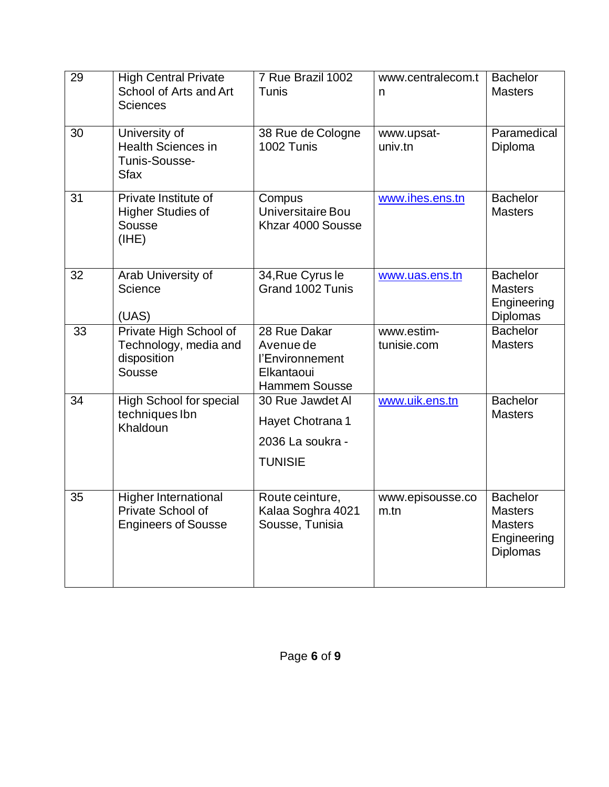| 29 | <b>High Central Private</b><br>School of Arts and Art<br><b>Sciences</b>       | 7 Rue Brazil 1002<br>Tunis                                                         | www.centralecom.t<br>n      | <b>Bachelor</b><br><b>Masters</b>                                              |
|----|--------------------------------------------------------------------------------|------------------------------------------------------------------------------------|-----------------------------|--------------------------------------------------------------------------------|
| 30 | University of<br><b>Health Sciences in</b><br>Tunis-Sousse-<br><b>Sfax</b>     | 38 Rue de Cologne<br>1002 Tunis                                                    | www.upsat-<br>univ.tn       | Paramedical<br>Diploma                                                         |
| 31 | Private Institute of<br><b>Higher Studies of</b><br>Sousse<br>(IHE)            | Compus<br>Universitaire Bou<br>Khzar 4000 Sousse                                   | www.ihes.ens.tn             | <b>Bachelor</b><br><b>Masters</b>                                              |
| 32 | Arab University of<br>Science<br>(UAS)                                         | 34, Rue Cyrus le<br>Grand 1002 Tunis                                               | www.uas.ens.tn              | <b>Bachelor</b><br><b>Masters</b><br>Engineering<br><b>Diplomas</b>            |
| 33 | Private High School of<br>Technology, media and<br>disposition<br>Sousse       | 28 Rue Dakar<br>Avenue de<br>l'Environnement<br>Elkantaoui<br><b>Hammem Sousse</b> | www.estim-<br>tunisie.com   | <b>Bachelor</b><br><b>Masters</b>                                              |
| 34 | High School for special<br>techniques Ibn<br>Khaldoun                          | 30 Rue Jawdet Al<br>Hayet Chotrana 1<br>2036 La soukra -<br><b>TUNISIE</b>         | www.uik.ens.tn              | <b>Bachelor</b><br><b>Masters</b>                                              |
| 35 | <b>Higher International</b><br>Private School of<br><b>Engineers of Sousse</b> | Route ceinture,<br>Kalaa Soghra 4021<br>Sousse, Tunisia                            | www.episousse.co<br>$m$ .tn | <b>Bachelor</b><br><b>Masters</b><br><b>Masters</b><br>Engineering<br>Diplomas |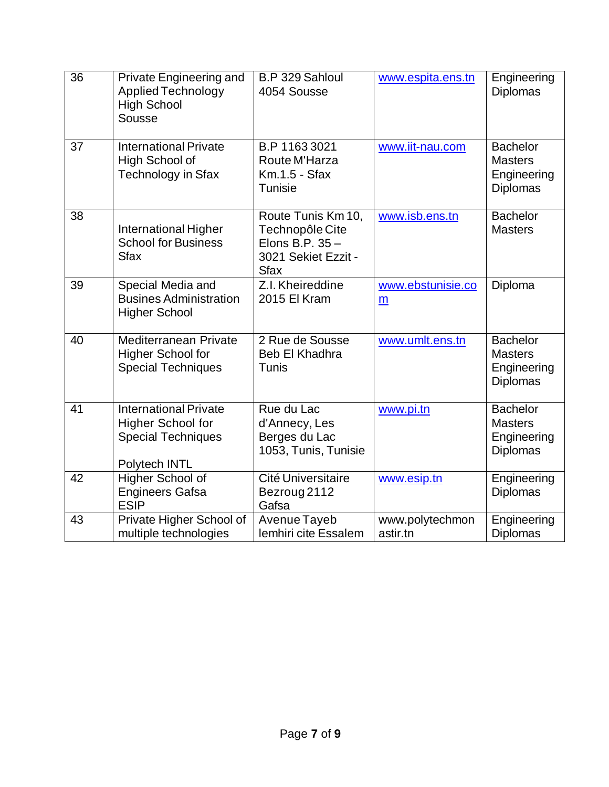| 36 | Private Engineering and<br><b>Applied Technology</b><br><b>High School</b><br>Sousse                   | B.P 329 Sahloul<br>4054 Sousse                                                                | www.espita.ens.tn           | Engineering<br><b>Diplomas</b>                                      |
|----|--------------------------------------------------------------------------------------------------------|-----------------------------------------------------------------------------------------------|-----------------------------|---------------------------------------------------------------------|
| 37 | <b>International Private</b><br>High School of<br><b>Technology in Sfax</b>                            | B.P 1163 3021<br>Route M'Harza<br>Km.1.5 - Sfax<br>Tunisie                                    | www.iit-nau.com             | <b>Bachelor</b><br><b>Masters</b><br>Engineering<br><b>Diplomas</b> |
| 38 | International Higher<br><b>School for Business</b><br><b>Sfax</b>                                      | Route Tunis Km 10,<br>Technopôle Cite<br>Elons B.P. 35-<br>3021 Sekiet Ezzit -<br><b>Sfax</b> | www.isb.ens.tn              | <b>Bachelor</b><br><b>Masters</b>                                   |
| 39 | Special Media and<br><b>Busines Administration</b><br><b>Higher School</b>                             | Z.I. Kheireddine<br>2015 El Kram                                                              | www.ebstunisie.co<br>m      | Diploma                                                             |
| 40 | <b>Mediterranean Private</b><br><b>Higher School for</b><br><b>Special Techniques</b>                  | 2 Rue de Sousse<br>Beb El Khadhra<br>Tunis                                                    | www.umlt.ens.tn             | <b>Bachelor</b><br><b>Masters</b><br>Engineering<br><b>Diplomas</b> |
| 41 | <b>International Private</b><br><b>Higher School for</b><br><b>Special Techniques</b><br>Polytech INTL | Rue du Lac<br>d'Annecy, Les<br>Berges du Lac<br>1053, Tunis, Tunisie                          | www.pi.tn                   | <b>Bachelor</b><br><b>Masters</b><br>Engineering<br><b>Diplomas</b> |
| 42 | Higher School of<br><b>Engineers Gafsa</b><br><b>ESIP</b>                                              | Cité Universitaire<br>Bezroug 2112<br>Gafsa                                                   | www.esip.tn                 | Engineering<br><b>Diplomas</b>                                      |
| 43 | Private Higher School of<br>multiple technologies                                                      | Avenue Tayeb<br>lemhiri cite Essalem                                                          | www.polytechmon<br>astir.tn | Engineering<br><b>Diplomas</b>                                      |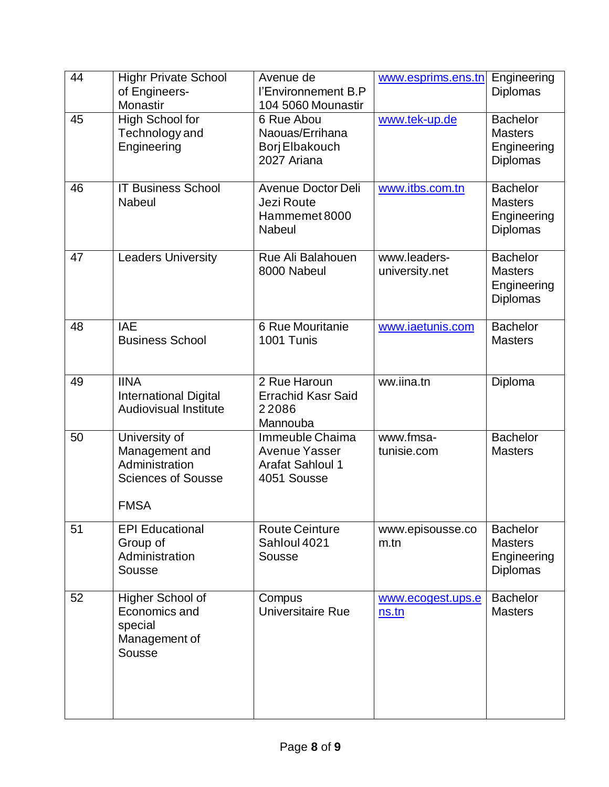| 44 | <b>Highr Private School</b><br>of Engineers-<br>Monastir                                      | Avenue de<br>l'Environnement B.P<br>104 5060 Mounastir                            | www.esprims.ens.tn             | Engineering<br><b>Diplomas</b>                                      |
|----|-----------------------------------------------------------------------------------------------|-----------------------------------------------------------------------------------|--------------------------------|---------------------------------------------------------------------|
| 45 | High School for<br>Technology and<br>Engineering                                              | 6 Rue Abou<br>Naouas/Errihana<br>Borj Elbakouch<br>2027 Ariana                    | www.tek-up.de                  | <b>Bachelor</b><br><b>Masters</b><br>Engineering<br><b>Diplomas</b> |
| 46 | <b>IT Business School</b><br><b>Nabeul</b>                                                    | Avenue Doctor Deli<br>Jezi Route<br>Hammemet 8000<br><b>Nabeul</b>                | www.itbs.com.tn                | <b>Bachelor</b><br><b>Masters</b><br>Engineering<br><b>Diplomas</b> |
| 47 | <b>Leaders University</b>                                                                     | Rue Ali Balahouen<br>8000 Nabeul                                                  | www.leaders-<br>university.net | <b>Bachelor</b><br><b>Masters</b><br>Engineering<br><b>Diplomas</b> |
| 48 | <b>IAE</b><br><b>Business School</b>                                                          | 6 Rue Mouritanie<br>1001 Tunis                                                    | www.iaetunis.com               | <b>Bachelor</b><br><b>Masters</b>                                   |
| 49 | <b>IINA</b><br><b>International Digital</b><br><b>Audiovisual Institute</b>                   | 2 Rue Haroun<br><b>Errachid Kasr Said</b><br>22086<br>Mannouba                    | ww.iina.tn                     | Diploma                                                             |
| 50 | University of<br>Management and<br>Administration<br><b>Sciences of Sousse</b><br><b>FMSA</b> | Immeuble Chaima<br><b>Avenue Yasser</b><br><b>Arafat Sahloul 1</b><br>4051 Sousse | www.fmsa-<br>tunisie.com       | <b>Bachelor</b><br><b>Masters</b>                                   |
| 51 | <b>EPI Educational</b><br>Group of<br>Administration<br>Sousse                                | <b>Route Ceinture</b><br>Sahloul 4021<br>Sousse                                   | www.episousse.co<br>m.th       | <b>Bachelor</b><br><b>Masters</b><br>Engineering<br><b>Diplomas</b> |
| 52 | Higher School of<br>Economics and<br>special<br>Management of<br>Sousse                       | Compus<br>Universitaire Rue                                                       | www.ecogest.ups.e<br>ns.tn     | <b>Bachelor</b><br><b>Masters</b>                                   |